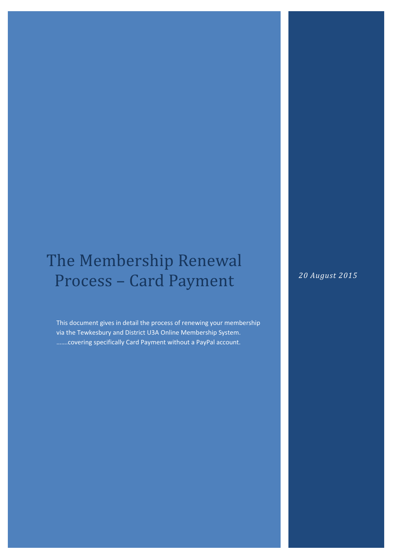# The Membership Renewal Process - Card Payment

This document gives in detail the process of renewing your membership via the Tewkesbury and District U3A Online Membership System. …….covering specifically Card Payment without a PayPal account.

20 August 2015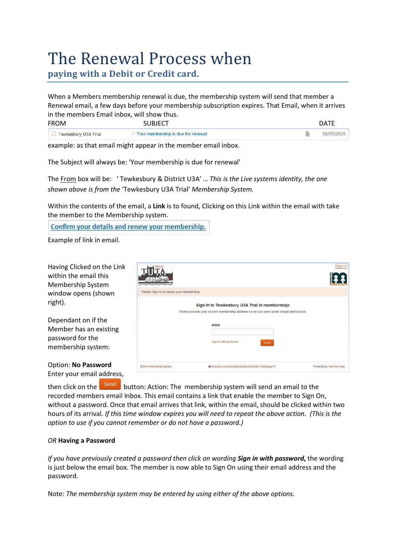# The Renewal Process when

paying with a Debit or Credit card.

When a Members membership renewal is due, the membership system will send that member a Renewal email, a few days before your membership subscription expires. That Email, when it arrives in the members Email inbox, will show thus.

| <b>FROM</b>          | I R I F (                          |   | '⊤∆۱. |
|----------------------|------------------------------------|---|-------|
| Tewkesbury U3A Trial | Your membership is due for renewal | Ū |       |

example: as that email might appear in the member email inbox.

The Subject will always be: 'Your membership is due for renewal'

The From box will be: 'Tewkesbury & District U3A' ... This is the Live systems identity, the one shown above is from the 'Tewkesbury U3A Trial' Membership System.

Within the contents of the email, a Link is to found, Clicking on this Link within the email with take the member to the Membership system.

Confirm your details and renew your membership.

Example of link in email.

Dependant on if the Member has an existing password for the membership system:

Option: No Password Enter your email address,

|                                          |                                                                                                                                                                                    | Sign In               |
|------------------------------------------|------------------------------------------------------------------------------------------------------------------------------------------------------------------------------------|-----------------------|
| Please Sign In to renew your membership. |                                                                                                                                                                                    |                       |
|                                          | Sign In to Tewkesbury U3A Trial at membermojo<br>Please provide your current membership address so we can send some simple instructions.<br>email<br>Sign In with password<br>Send |                       |
| Membership Enquiries                     | @u3asites.org.uk/code/u3asite.php?site=138&page=1                                                                                                                                  | Powered by membermojo |

then click on the **Send** button: Action: The membership system will send an email to the recorded members email Inbox. This email contains a link that enable the member to Sign On, without a password. Once that email arrives that link, within the email, should be clicked within two hours of its arrival. If this time window expires you will need to repeat the above action. (This is the option to use if you cannot remember or do not have a password.)

# OR Having a Password

If you have previously created a password then click on wording **Sign in with password,** the wording is just below the email box. The member is now able to Sign On using their email address and the password.

Note: The membership system may be entered by using either of the above options.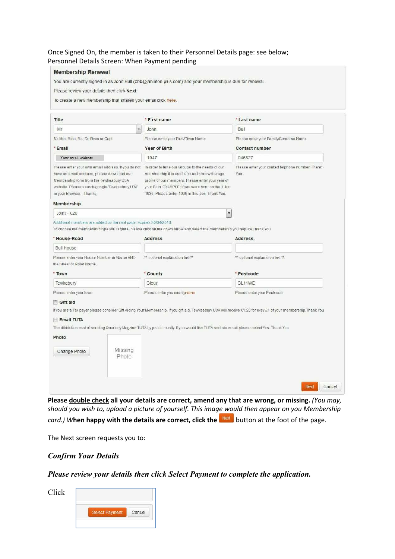## Once Signed On, the member is taken to their Personnel Details page: see below; Personnel Details Screen: When Payment pending

|                                                                                                                                                                                                                          | You are currently signed in as John Bull (bbb@jahinton.plus.com) and your membership is due for renewal.                                                                                                                                                        |                                                                                                                                                                  |
|--------------------------------------------------------------------------------------------------------------------------------------------------------------------------------------------------------------------------|-----------------------------------------------------------------------------------------------------------------------------------------------------------------------------------------------------------------------------------------------------------------|------------------------------------------------------------------------------------------------------------------------------------------------------------------|
| Please review your details then click Next.                                                                                                                                                                              |                                                                                                                                                                                                                                                                 |                                                                                                                                                                  |
| To create a new membership that shares your email click here.                                                                                                                                                            |                                                                                                                                                                                                                                                                 |                                                                                                                                                                  |
| Title                                                                                                                                                                                                                    | * First name                                                                                                                                                                                                                                                    | * Last name                                                                                                                                                      |
| Mr<br>$\overline{\phantom{a}}$                                                                                                                                                                                           | John                                                                                                                                                                                                                                                            | Bull                                                                                                                                                             |
| Mr, Mrs, Miss, Ms, Dr, Revn or Capt<br>* Email                                                                                                                                                                           | Please enter your First/Given Name<br>Year of Birth                                                                                                                                                                                                             | Please enter your Family/Surname Name<br><b>Contact number</b>                                                                                                   |
| Your em ail address                                                                                                                                                                                                      | 1947                                                                                                                                                                                                                                                            | 046827                                                                                                                                                           |
| Please enter your own email address. If you do not<br>have an email address, please download our<br>Membership form from the Tewkesbury U3A<br>website. Please search/google Tewkesbury U3A'<br>in your Browser - Thanks | In order to tune our Groups to the needs of our<br>membership it is useful for us to know the age<br>profile of our members. Please enter your year of<br>your Birth. EXAMPLE: If you were born on the 1 Jun<br>1936. Please enter 1936 in this box. Thank You. | Please enter your contact telphone number. Thank<br>You                                                                                                          |
| Membership                                                                                                                                                                                                               |                                                                                                                                                                                                                                                                 |                                                                                                                                                                  |
| Joint - £20                                                                                                                                                                                                              | $\overline{\phantom{0}}$                                                                                                                                                                                                                                        |                                                                                                                                                                  |
| Additional members are added on the next page. Expires 30/04/2016.<br>* House-Road                                                                                                                                       | To choose the membership type you require, please click on the down arrow and select the membership you require, Thank You<br><b>Address</b>                                                                                                                    | Address.                                                                                                                                                         |
| <b>Bull House</b>                                                                                                                                                                                                        |                                                                                                                                                                                                                                                                 |                                                                                                                                                                  |
| Please enter your House Number or Name AND<br>the Street or Road Name.                                                                                                                                                   | ** optional explanation text **                                                                                                                                                                                                                                 | ** optional explanation text **                                                                                                                                  |
| * Town                                                                                                                                                                                                                   | * County                                                                                                                                                                                                                                                        | * Postcode                                                                                                                                                       |
| Tewkebury                                                                                                                                                                                                                | <b>Glouc</b>                                                                                                                                                                                                                                                    | GL <sub>11</sub> WE                                                                                                                                              |
|                                                                                                                                                                                                                          | Please enter you countyname                                                                                                                                                                                                                                     | Please enter your Postcode.                                                                                                                                      |
|                                                                                                                                                                                                                          |                                                                                                                                                                                                                                                                 |                                                                                                                                                                  |
|                                                                                                                                                                                                                          |                                                                                                                                                                                                                                                                 |                                                                                                                                                                  |
|                                                                                                                                                                                                                          | The ditridution cost of sending Quarterly Magzine TUTA by post is costly. If you would like TUTA sent via email please select Yes. Thank You                                                                                                                    |                                                                                                                                                                  |
|                                                                                                                                                                                                                          |                                                                                                                                                                                                                                                                 | If you are a Tax payer please consider Gift Aiding Your Membership. If you gift aid, Tewkesbury U3A will receive £1.25 for evey £1 of your membership. Thank You |
| Please enter your town<br>Gift aid<br><b>Email TUTA</b><br>Photo<br>Missing<br>Change Photo<br>Photo                                                                                                                     |                                                                                                                                                                                                                                                                 |                                                                                                                                                                  |

Please double check all your details are correct, amend any that are wrong, or missing. (You may, should you wish to, upload a picture of yourself. This image would then appear on you Membership

 $card.$ ) When happy with the details are correct, click the  $\sqrt{R}$  button at the foot of the page.

The Next screen requests you to:

# Confirm Your Details

Please review your details then click Select Payment to complete the application.

Click

| Select Payment |  | Cancel |
|----------------|--|--------|
|----------------|--|--------|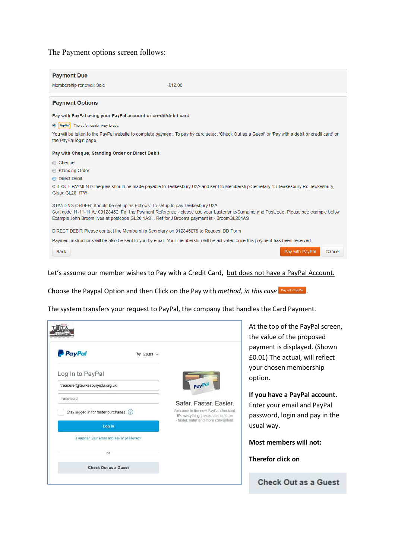## The Payment options screen follows:

| <b>Payment Due</b>                                                                                                                                                       |                                                                                                                                                   |
|--------------------------------------------------------------------------------------------------------------------------------------------------------------------------|---------------------------------------------------------------------------------------------------------------------------------------------------|
| Membership renewal: Sole                                                                                                                                                 | £12.00                                                                                                                                            |
|                                                                                                                                                                          |                                                                                                                                                   |
| <b>Payment Options</b>                                                                                                                                                   |                                                                                                                                                   |
| Pay with PayPal using your PayPal account or credit/debit card                                                                                                           |                                                                                                                                                   |
| The safer, easier way to pay.<br>$\circledcirc$<br><b>PayPal</b>                                                                                                         |                                                                                                                                                   |
| the PayPal login page.                                                                                                                                                   | You will be taken to the PayPal website to complete payment. To pay by card select 'Check Out as a Guest' or 'Pay with a debit or credit card' on |
| Pay with Cheque, Standing Order or Direct Debit                                                                                                                          |                                                                                                                                                   |
| Cheque                                                                                                                                                                   |                                                                                                                                                   |
| Standing Order                                                                                                                                                           |                                                                                                                                                   |
| <b>O</b> Direct Debit                                                                                                                                                    |                                                                                                                                                   |
| Glouc GL20 1TW                                                                                                                                                           | CHEQUE PAYMENT:Cheques should be made payable to Tewkesbury U3A and sent to Membership Secretary 13 Tewkesbury Rd Tewkesbury,                     |
| STANDING ORDER: Should be set up as Follows: To setup to pay Tewkesbury U3A<br>Example John Broom lives at postcode GL20 1AS  Ref for J Brooms payment is:- BroomGL201AS | Sort code 11-11-11 Ac 00123456. For the Payment Reference - please use your Lastename/Surname and Postcode. Please see example below              |
| DIRECT DEBIT: Please contact the Membership Secretary on 012345678 to Request DD Form                                                                                    |                                                                                                                                                   |
|                                                                                                                                                                          | Payment instructions will be also be sent to you by email. Your membership will be activated once this payment has been received.                 |
| <b>Back</b>                                                                                                                                                              | Pay with PayPal<br>Cancel                                                                                                                         |

#### Let's assume our member wishes to Pay with a Credit Card, but does not have a PayPal Account.

Choose the Paypal Option and then Click on the Pay with method, in this case  $\frac{P}{P}$  Pay with PayPal.

The system transfers your request to PayPal, the company that handles the Card Payment.

| <b>P</b> PayPal<br>$M$ £0.01 $\vee$       |                                                                                                                                             |
|-------------------------------------------|---------------------------------------------------------------------------------------------------------------------------------------------|
| Log In to PayPal                          |                                                                                                                                             |
| treasurer@tewkesburyu3a.org.uk            | PayPal                                                                                                                                      |
| Password                                  |                                                                                                                                             |
| Stay logged in for faster purchases (?)   | Safer, Faster, Easier,<br>Welcome to the new PayPal checkout.<br>It's everything checkout should be<br>- faster, safer and more convenient. |
| Log In                                    |                                                                                                                                             |
| Forgotten your email address or password? |                                                                                                                                             |
| OF                                        |                                                                                                                                             |
| Check Out as a Guest                      |                                                                                                                                             |

the top of the PayPal screen, value of the proposed ment is displayed. (Shown 01) The actual, will reflect ir chosen membership ion.

ou have a PayPal account. er your email and PayPal sword, login and pay in the al way.

st members will not:

erefor click on

**Check Out as a Guest**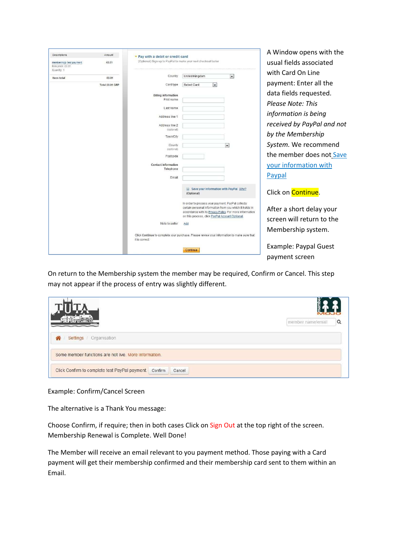| Descriptions<br>membermojo test payment<br>Item price: £0.01 | Amount<br>£0.01 | Pay with a debit or credit card<br>(Optional) Sign up to PayPal to make your next checkout faster            |                                                                                                                     |                          | A Window opens with the<br>usual fields associated |
|--------------------------------------------------------------|-----------------|--------------------------------------------------------------------------------------------------------------|---------------------------------------------------------------------------------------------------------------------|--------------------------|----------------------------------------------------|
| Quantity: 1<br>Item total                                    | £0.01           | Country                                                                                                      | United Kingdom                                                                                                      | $\vert \cdot \vert$      | with Card On Line                                  |
|                                                              | Total £0.01 GBP | Card type                                                                                                    | $\overline{\phantom{a}}$<br>Select Card                                                                             |                          | payment: Enter all the                             |
|                                                              |                 |                                                                                                              |                                                                                                                     |                          |                                                    |
|                                                              |                 | <b>Billing information</b>                                                                                   |                                                                                                                     |                          | data fields requested.                             |
|                                                              |                 | First name                                                                                                   |                                                                                                                     |                          | Please Note: This                                  |
|                                                              |                 | Last name                                                                                                    |                                                                                                                     |                          |                                                    |
|                                                              |                 | Address line 1                                                                                               |                                                                                                                     |                          | information is being                               |
|                                                              |                 | Address line 2                                                                                               |                                                                                                                     |                          | received by PayPal and not                         |
|                                                              |                 | (optional)                                                                                                   |                                                                                                                     |                          |                                                    |
|                                                              |                 | Town/City                                                                                                    |                                                                                                                     |                          | by the Membership                                  |
|                                                              |                 | County                                                                                                       |                                                                                                                     | $\overline{\phantom{a}}$ | System. We recommend                               |
|                                                              |                 | (optional)<br>Postcode                                                                                       |                                                                                                                     |                          | the member does not Save                           |
|                                                              |                 | <b>Contact information</b>                                                                                   |                                                                                                                     |                          | your information with                              |
|                                                              |                 | Telephone                                                                                                    |                                                                                                                     |                          |                                                    |
|                                                              |                 | Email                                                                                                        |                                                                                                                     |                          | Paypal                                             |
|                                                              |                 |                                                                                                              | F Save your information with PayPal Why?<br>(Optional)                                                              |                          | Click on <b>Continue</b> .                         |
|                                                              |                 |                                                                                                              | In order to process your payment, PayPal collects                                                                   |                          |                                                    |
|                                                              |                 |                                                                                                              | certain personal information from you which it holds in<br>accordance with its Privacy Policy. For more information |                          | After a short delay your                           |
|                                                              |                 |                                                                                                              | on this process, click PayPal Account Optional.                                                                     |                          | screen will return to the                          |
|                                                              |                 | Note to seller                                                                                               | Add                                                                                                                 |                          |                                                    |
|                                                              |                 | Click Continue to complete your purchase. Please review your information to make sure that<br>it is correct. |                                                                                                                     |                          | Membership system.                                 |
|                                                              |                 |                                                                                                              | Continue                                                                                                            |                          | Example: Paypal Guest                              |
|                                                              |                 |                                                                                                              |                                                                                                                     |                          | payment screen                                     |

On return to the Membership system the member may be required, Confirm or Cancel. This step may not appear if the process of entry was slightly different.

|                                                                     | member name/email | Q |  |
|---------------------------------------------------------------------|-------------------|---|--|
| 솖<br>Settings   Organisation                                        |                   |   |  |
| Some member functions are not live. More information.               |                   |   |  |
| Click Confirm to complete test PayPal payment.<br>Confirm<br>Cancel |                   |   |  |

#### Example: Confirm/Cancel Screen

The alternative is a Thank You message:

Choose Confirm, if require; then in both cases Click on Sign Out at the top right of the screen. Membership Renewal is Complete. Well Done!

The Member will receive an email relevant to you payment method. Those paying with a Card payment will get their membership confirmed and their membership card sent to them within an Email.